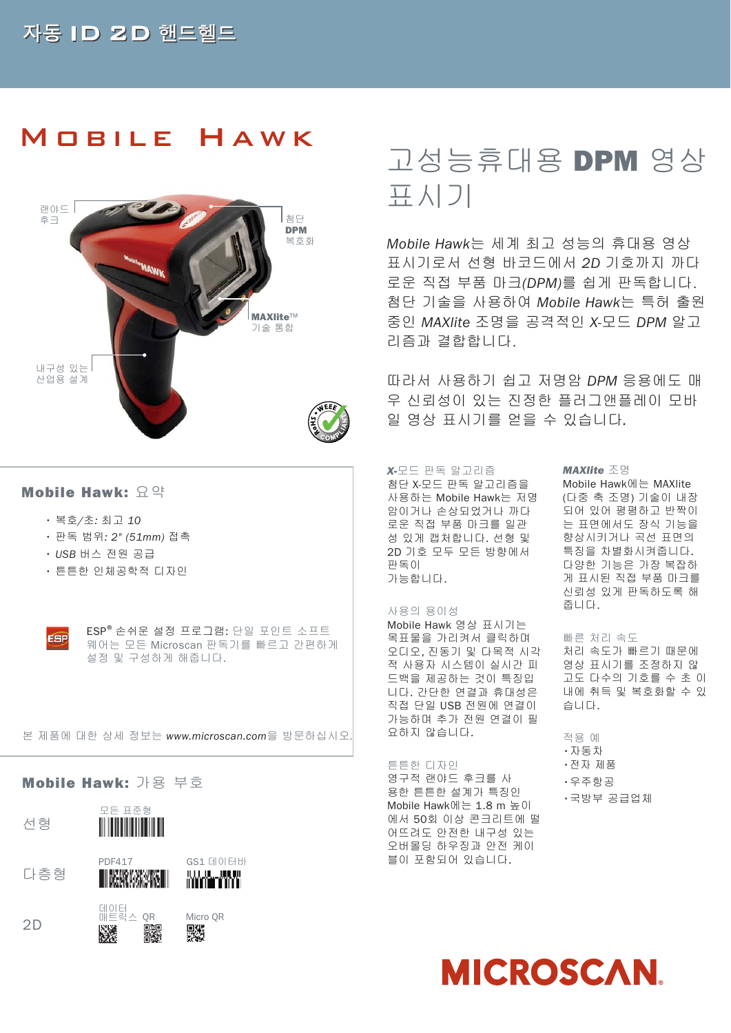# Mobile Hawk



## **Mobile Hawk: 요약**

- 복호/초: 최고 10
- 판독 범위: 2" (51mm) 접촉
- USB 버스 전원 공급
- 튼튼한 인체공학적 디자인



ESP®손쉬운 설정 프로그램: 단일 포인트 소프트 웨어는 모든 Microscan 판독기를 빠르고 간편하게 설정 및 구성하게 해줍니다.

#### 본 제품에 대한 상세 정보는 www.microscan.com을 방문하십시오.

### **Mobile Hawk:** 가용 부호





다층형



# GS1 데이터바 andere verkieden.<br>Stadt in der verkieden in der verkieden in der verkieden in der verkieden in der verkieden in der verkieden in





# 고성능휴대용 **DPM** 영상 표시기

Mobile Hawk는 세계 최고 성능의 휴대용 영상 표시기로서 선형 바코드에서 2D 기호까지 까다 로운 직접 부품 마크(DPM)를 쉽게 판독합니다. 첨단 기술을 사용하여 Mobile Hawk는 특허 출원 중인 MAXlite 조명을 공격적인 X-모드 DPM 알고 리즘과 결합합니다.

따라서 사용하기 쉽고 저명암 DPM 응용에도 매 우 신뢰성이 있는 진정한 플러그앤플레이 모바 일 영상 표시기를 얻을 수 있습니다.

#### *X-*모드 판독 알고리즘

첨단 X-모드 판독 알고리즘을 사용하는 Mobile Hawk는 저명 암이거나 손상되었거나 까다 로운 직접 부품 마크를 일관 성 있게 캡처합니다. 선형 및 2D 기호 모두 모든 방향에서 판독이 가능합니다.

### 사용의 용이성

Mobile Hawk 영상 표시기는 목표물을 가리켜서 클릭하며 오디오, 진동기 및 다목적 시각 적 사용자 시스템이 실시간 피 드백을 제공하는 것이 특징입 니다. 간단한 연결과 휴대성은 직접 단일 USB 전원에 연결이 가능하며 추가 전원 연결이 필 요하지 않습니다.

#### 튼튼한 디자인

영구적 랜야드 후크를 사 용한 튼튼한 설계가 특징인 Mobile Hawk에는 1.8 m 높이 에서 50회 이상 콘크리트에 떨 어뜨려도 안전한 내구성 있는 오버몰딩 하우징과 안전 케이 블이 포함되어 있습니다.

#### *MAXlite* 조명

Mobile Hawk에는 MAXlite (다중 축 조명) 기술이 내장 되어 있어 평평하고 반짝이 는 표면에서도 장식 기능을 향상시키거나 곡선 표면의 특징을 차별화시켜줍니다. 다양한 기능은 가장 복잡하 게 표시된 직접 부품 마크를 신뢰성 있게 판독하도록 해 줍니다.

## 빠른 처리 속도

처리 속도가 빠르기 때문에 영상 표시기를 조정하지 않 고도 다수의 기호를 수 초 이 내에 취득 및 복호화할 수 있 습니다.

적용 예 •자동차 •전자 제품 •우주항공

### •국방부 공급업체

**MICROSCAN**